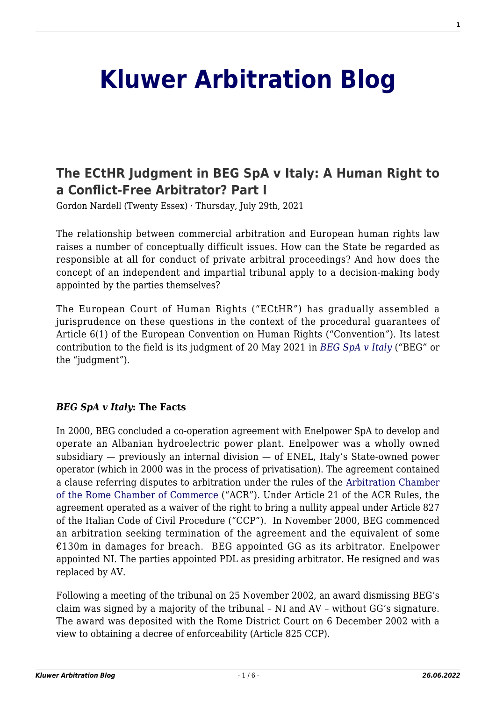# **[Kluwer Arbitration Blog](http://arbitrationblog.kluwerarbitration.com/)**

# **[The ECtHR Judgment in BEG SpA v Italy: A Human Right to](http://arbitrationblog.kluwerarbitration.com/2021/07/29/the-ecthr-judgment-in-beg-spa-v-italy-a-human-right-to-a-conflict-free-arbitrator-part-i/) [a Conflict-Free Arbitrator? Part I](http://arbitrationblog.kluwerarbitration.com/2021/07/29/the-ecthr-judgment-in-beg-spa-v-italy-a-human-right-to-a-conflict-free-arbitrator-part-i/)**

Gordon Nardell (Twenty Essex) · Thursday, July 29th, 2021

The relationship between commercial arbitration and European human rights law raises a number of conceptually difficult issues. How can the State be regarded as responsible at all for conduct of private arbitral proceedings? And how does the concept of an independent and impartial tribunal apply to a decision-making body appointed by the parties themselves?

The European Court of Human Rights ("ECtHR*"*) has gradually assembled a jurisprudence on these questions in the context of the procedural guarantees of Article 6(1) of the European Convention on Human Rights ("Convention*"*). Its latest contribution to the field is its judgment of 20 May 2021 in *[BEG SpA v Italy](https://hudoc.echr.coe.int/eng#{%22appno%22:[%225312/11%22],%22itemid%22:[%22001-210014%22]})* (*"*BEG*"* or the "judgment*"*)*.*

#### *BEG SpA v Italy***: The Facts**

In 2000, BEG concluded a co-operation agreement with Enelpower SpA to develop and operate an Albanian hydroelectric power plant. Enelpower was a wholly owned subsidiary — previously an internal division — of ENEL, Italy's State-owned power operator (which in 2000 was in the process of privatisation). The agreement contained a clause referring disputes to arbitration under the rules of the [Arbitration Chamber](https://www.camera-arbitrale.it/en/arbitration/arbitration-rules.php?id=64) [of the Rome Chamber of Commerce](https://www.camera-arbitrale.it/en/arbitration/arbitration-rules.php?id=64) ("ACR"). Under Article 21 of the ACR Rules, the agreement operated as a waiver of the right to bring a nullity appeal under Article 827 of the Italian Code of Civil Procedure ("CCP"). In November 2000, BEG commenced an arbitration seeking termination of the agreement and the equivalent of some €130m in damages for breach. BEG appointed GG as its arbitrator. Enelpower appointed NI. The parties appointed PDL as presiding arbitrator. He resigned and was replaced by AV.

Following a meeting of the tribunal on 25 November 2002, an award dismissing BEG's claim was signed by a majority of the tribunal – NI and AV – without GG's signature. The award was deposited with the Rome District Court on 6 December 2002 with a view to obtaining a decree of enforceability (Article 825 CCP).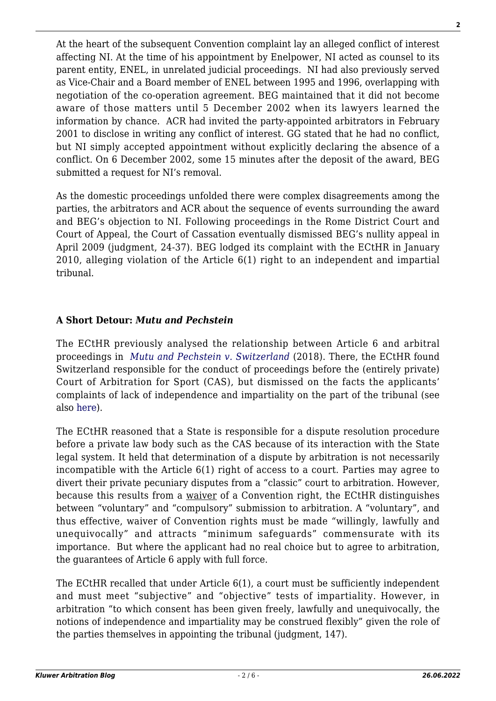At the heart of the subsequent Convention complaint lay an alleged conflict of interest affecting NI. At the time of his appointment by Enelpower, NI acted as counsel to its parent entity, ENEL, in unrelated judicial proceedings. NI had also previously served as Vice-Chair and a Board member of ENEL between 1995 and 1996, overlapping with negotiation of the co-operation agreement. BEG maintained that it did not become aware of those matters until 5 December 2002 when its lawyers learned the information by chance. ACR had invited the party-appointed arbitrators in February 2001 to disclose in writing any conflict of interest. GG stated that he had no conflict, but NI simply accepted appointment without explicitly declaring the absence of a conflict. On 6 December 2002, some 15 minutes after the deposit of the award, BEG submitted a request for NI's removal.

As the domestic proceedings unfolded there were complex disagreements among the parties, the arbitrators and ACR about the sequence of events surrounding the award and BEG's objection to NI. Following proceedings in the Rome District Court and Court of Appeal, the Court of Cassation eventually dismissed BEG's nullity appeal in April 2009 (judgment, 24-37). BEG lodged its complaint with the ECtHR in January 2010, alleging violation of the Article 6(1) right to an independent and impartial tribunal.

## **A Short Detour:** *Mutu and Pechstein*

The ECtHR previously analysed the relationship between Article 6 and arbitral proceedings in *[Mutu and Pechstein](https://hudoc.echr.coe.int/eng#{%22itemid%22:[%22001-186828%22]}) [v. Switzerland](https://hudoc.echr.coe.int/eng#{%22itemid%22:[%22001-186828%22]})* (2018). There, the ECtHR found Switzerland responsible for the conduct of proceedings before the (entirely private) Court of Arbitration for Sport (CAS), but dismissed on the facts the applicants' complaints of lack of independence and impartiality on the part of the tribunal (see also [here\)](http://arbitrationblog.kluwerarbitration.com/2018/12/19/how-the-european-court-for-human-rights-interferes-in-sports-arbitration/?print=pdf).

The ECtHR reasoned that a State is responsible for a dispute resolution procedure before a private law body such as the CAS because of its interaction with the State legal system. It held that determination of a dispute by arbitration is not necessarily incompatible with the Article 6(1) right of access to a court. Parties may agree to divert their private pecuniary disputes from a "classic" court to arbitration. However, because this results from a waiver of a Convention right, the ECtHR distinguishes between "voluntary" and "compulsory" submission to arbitration. A "voluntary", and thus effective, waiver of Convention rights must be made "willingly, lawfully and unequivocally" and attracts "minimum safeguards" commensurate with its importance. But where the applicant had no real choice but to agree to arbitration, the guarantees of Article 6 apply with full force.

The ECtHR recalled that under Article 6(1), a court must be sufficiently independent and must meet "subjective" and "objective" tests of impartiality. However, in arbitration "to which consent has been given freely, lawfully and unequivocally, the notions of independence and impartiality may be construed flexibly" given the role of the parties themselves in appointing the tribunal (judgment, 147).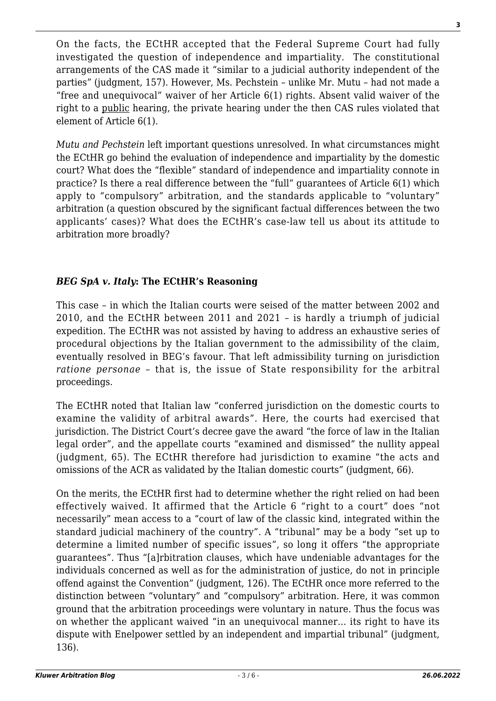On the facts, the ECtHR accepted that the Federal Supreme Court had fully investigated the question of independence and impartiality. The constitutional arrangements of the CAS made it "similar to a judicial authority independent of the parties" (judgment, 157). However, Ms. Pechstein – unlike Mr. Mutu – had not made a "free and unequivocal" waiver of her Article 6(1) rights. Absent valid waiver of the right to a public hearing, the private hearing under the then CAS rules violated that element of Article 6(1).

*Mutu and Pechstein* left important questions unresolved. In what circumstances might the ECtHR go behind the evaluation of independence and impartiality by the domestic court? What does the "flexible" standard of independence and impartiality connote in practice? Is there a real difference between the "full" guarantees of Article 6(1) which apply to "compulsory" arbitration, and the standards applicable to "voluntary" arbitration (a question obscured by the significant factual differences between the two applicants' cases)? What does the ECtHR's case-law tell us about its attitude to arbitration more broadly?

## *BEG SpA v. Italy***: The ECtHR's Reasoning**

This case – in which the Italian courts were seised of the matter between 2002 and 2010, and the ECtHR between 2011 and 2021 – is hardly a triumph of judicial expedition. The ECtHR was not assisted by having to address an exhaustive series of procedural objections by the Italian government to the admissibility of the claim, eventually resolved in BEG's favour. That left admissibility turning on jurisdiction *ratione personae* – that is, the issue of State responsibility for the arbitral proceedings.

The ECtHR noted that Italian law "conferred jurisdiction on the domestic courts to examine the validity of arbitral awards". Here, the courts had exercised that jurisdiction. The District Court's decree gave the award "the force of law in the Italian legal order", and the appellate courts "examined and dismissed" the nullity appeal (judgment, 65). The ECtHR therefore had jurisdiction to examine "the acts and omissions of the ACR as validated by the Italian domestic courts" (judgment, 66).

On the merits, the ECtHR first had to determine whether the right relied on had been effectively waived. It affirmed that the Article 6 "right to a court" does "not necessarily" mean access to a "court of law of the classic kind, integrated within the standard judicial machinery of the country". A "tribunal" may be a body "set up to determine a limited number of specific issues", so long it offers "the appropriate guarantees". Thus "[a]rbitration clauses, which have undeniable advantages for the individuals concerned as well as for the administration of justice, do not in principle offend against the Convention" (judgment, 126). The ECtHR once more referred to the distinction between "voluntary" and "compulsory" arbitration. Here, it was common ground that the arbitration proceedings were voluntary in nature. Thus the focus was on whether the applicant waived "in an unequivocal manner… its right to have its dispute with Enelpower settled by an independent and impartial tribunal" (judgment, 136).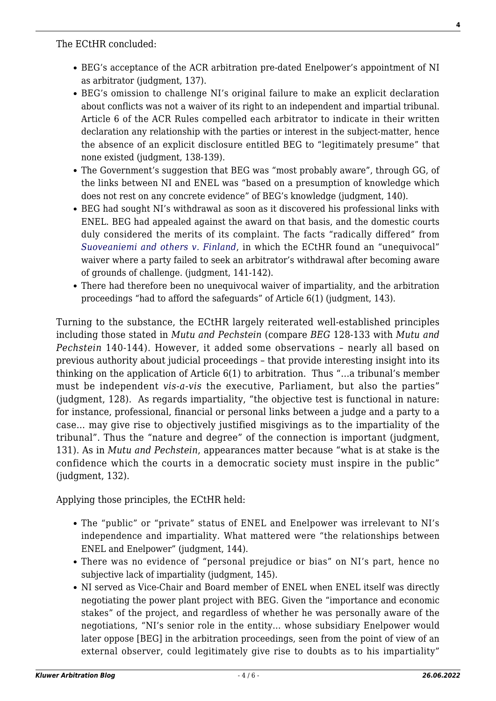The ECtHR concluded:

- BEG's acceptance of the ACR arbitration pre-dated Enelpower's appointment of NI as arbitrator (judgment, 137).
- BEG's omission to challenge NI's original failure to make an explicit declaration about conflicts was not a waiver of its right to an independent and impartial tribunal. Article 6 of the ACR Rules compelled each arbitrator to indicate in their written declaration any relationship with the parties or interest in the subject-matter, hence the absence of an explicit disclosure entitled BEG to "legitimately presume" that none existed (judgment, 138-139).
- The Government's suggestion that BEG was "most probably aware", through GG, of the links between NI and ENEL was "based on a presumption of knowledge which does not rest on any concrete evidence" of BEG's knowledge (judgment, 140).
- BEG had sought NI's withdrawal as soon as it discovered his professional links with ENEL. BEG had appealed against the award on that basis, and the domestic courts duly considered the merits of its complaint. The facts "radically differed" from *[Suoveaniemi and others v. Finland](https://hudoc.echr.coe.int/eng#{%22itemid%22:[%22001-4942%22]})*, in which the ECtHR found an "unequivocal" waiver where a party failed to seek an arbitrator's withdrawal after becoming aware of grounds of challenge. (judgment, 141-142).
- There had therefore been no unequivocal waiver of impartiality, and the arbitration proceedings "had to afford the safeguards" of Article 6(1) (judgment, 143).

Turning to the substance, the ECtHR largely reiterated well-established principles including those stated in *Mutu and Pechstein* (compare *BEG* 128-133 with *Mutu and Pechstein* 140-144). However, it added some observations – nearly all based on previous authority about judicial proceedings – that provide interesting insight into its thinking on the application of Article 6(1) to arbitration. Thus "…a tribunal's member must be independent *vis-a-vis* the executive, Parliament, but also the parties" (judgment, 128). As regards impartiality, "the objective test is functional in nature: for instance, professional, financial or personal links between a judge and a party to a case… may give rise to objectively justified misgivings as to the impartiality of the tribunal". Thus the "nature and degree" of the connection is important (judgment, 131). As in *Mutu and Pechstein*, appearances matter because "what is at stake is the confidence which the courts in a democratic society must inspire in the public" (judgment, 132).

Applying those principles, the ECtHR held:

- The "public" or "private" status of ENEL and Enelpower was irrelevant to NI's independence and impartiality. What mattered were "the relationships between ENEL and Enelpower" (judgment, 144).
- There was no evidence of "personal prejudice or bias" on NI's part, hence no subjective lack of impartiality (judgment, 145).
- NI served as Vice-Chair and Board member of ENEL when ENEL itself was directly negotiating the power plant project with BEG. Given the "importance and economic stakes" of the project, and regardless of whether he was personally aware of the negotiations, "NI's senior role in the entity… whose subsidiary Enelpower would later oppose [BEG] in the arbitration proceedings, seen from the point of view of an external observer, could legitimately give rise to doubts as to his impartiality"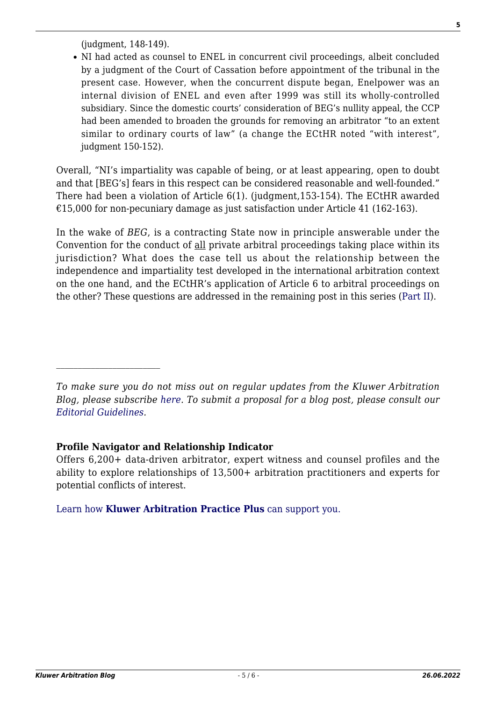(judgment, 148-149).

NI had acted as counsel to ENEL in concurrent civil proceedings, albeit concluded by a judgment of the Court of Cassation before appointment of the tribunal in the present case. However, when the concurrent dispute began, Enelpower was an internal division of ENEL and even after 1999 was still its wholly-controlled subsidiary. Since the domestic courts' consideration of BEG's nullity appeal, the CCP had been amended to broaden the grounds for removing an arbitrator "to an extent similar to ordinary courts of law" (a change the ECtHR noted "with interest", judgment 150-152).

Overall, "NI's impartiality was capable of being, or at least appearing, open to doubt and that [BEG's] fears in this respect can be considered reasonable and well-founded." There had been a violation of Article 6(1). (judgment,153-154). The ECtHR awarded €15,000 for non-pecuniary damage as just satisfaction under Article 41 (162-163).

In the wake of *BEG*, is a contracting State now in principle answerable under the Convention for the conduct of all private arbitral proceedings taking place within its jurisdiction? What does the case tell us about the relationship between the independence and impartiality test developed in the international arbitration context on the one hand, and the ECtHR's application of Article 6 to arbitral proceedings on the other? These questions are addressed in the remaining post in this series ([Part II](http://arbitrationblog.kluwerarbitration.com/2021/07/29/the-ecthr-judgment-in-beg-spa-v-italy-a-human-right-to-a-conflict-free-arbitrator-part-ii/)).

#### **Profile Navigator and Relationship Indicator**

Offers 6,200+ data-driven arbitrator, expert witness and counsel profiles and the ability to explore relationships of 13,500+ arbitration practitioners and experts for potential conflicts of interest.

[Learn how](https://www.wolterskluwer.com/en/solutions/kluwerarbitration/practiceplus?utm_source=arbitrationblog&utm_medium=articleCTA&utm_campaign=article-banner) **[Kluwer Arbitration Practice Plus](https://www.wolterskluwer.com/en/solutions/kluwerarbitration/practiceplus?utm_source=arbitrationblog&utm_medium=articleCTA&utm_campaign=article-banner)** [can support you.](https://www.wolterskluwer.com/en/solutions/kluwerarbitration/practiceplus?utm_source=arbitrationblog&utm_medium=articleCTA&utm_campaign=article-banner)

*To make sure you do not miss out on regular updates from the Kluwer Arbitration Blog, please subscribe [here](http://arbitrationblog.kluwerarbitration.com/newsletter/). To submit a proposal for a blog post, please consult our [Editorial Guidelines.](http://arbitrationblog.kluwerarbitration.com/editorial-guidelines/)*